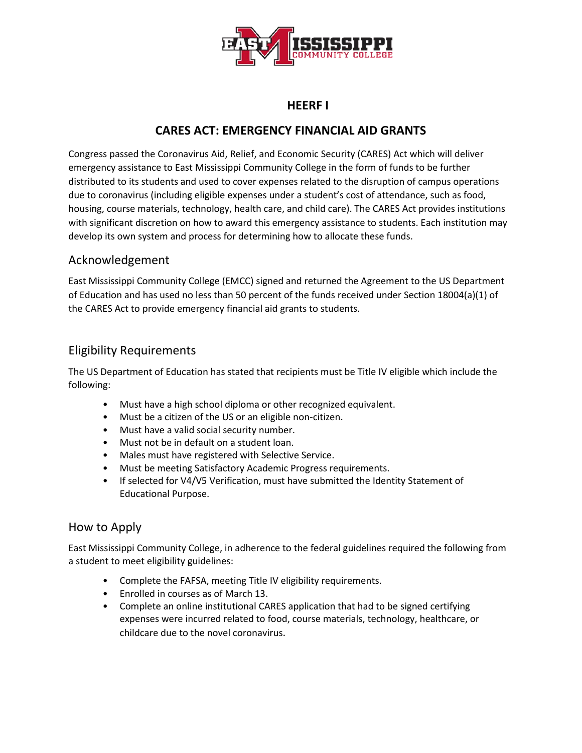

## **HEERF I**

# **CARES ACT: EMERGENCY FINANCIAL AID GRANTS**

Congress passed the Coronavirus Aid, Relief, and Economic Security (CARES) Act which will deliver emergency assistance to East Mississippi Community College in the form of funds to be further distributed to its students and used to cover expenses related to the disruption of campus operations due to coronavirus (including eligible expenses under a student's cost of attendance, such as food, housing, course materials, technology, health care, and child care). The CARES Act provides institutions with significant discretion on how to award this emergency assistance to students. Each institution may develop its own system and process for determining how to allocate these funds.

### Acknowledgement

East Mississippi Community College (EMCC) signed and returned the Agreement to the US Department of Education and has used no less than 50 percent of the funds received under Section 18004(a)(1) of the CARES Act to provide emergency financial aid grants to students.

## Eligibility Requirements

The US Department of Education has stated that recipients must be Title IV eligible which include the following:

- Must have a high school diploma or other recognized equivalent.
- Must be a citizen of the US or an eligible non-citizen.
- Must have a valid social security number.
- Must not be in default on a student loan.
- Males must have registered with Selective Service.
- Must be meeting Satisfactory Academic Progress requirements.
- If selected for V4/V5 Verification, must have submitted the Identity Statement of Educational Purpose.

## How to Apply

East Mississippi Community College, in adherence to the federal guidelines required the following from a student to meet eligibility guidelines:

- Complete the FAFSA, meeting Title IV eligibility requirements.
- Enrolled in courses as of March 13.
- Complete an online institutional CARES application that had to be signed certifying expenses were incurred related to food, course materials, technology, healthcare, or childcare due to the novel coronavirus.